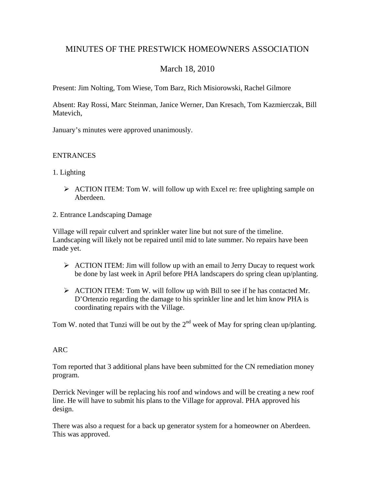# MINUTES OF THE PRESTWICK HOMEOWNERS ASSOCIATION

# March 18, 2010

Present: Jim Nolting, Tom Wiese, Tom Barz, Rich Misiorowski, Rachel Gilmore

Absent: Ray Rossi, Marc Steinman, Janice Werner, Dan Kresach, Tom Kazmierczak, Bill Matevich,

January's minutes were approved unanimously.

## **ENTRANCES**

- 1. Lighting
	- $\triangleright$  ACTION ITEM: Tom W. will follow up with Excel re: free uplighting sample on Aberdeen.
- 2. Entrance Landscaping Damage

Village will repair culvert and sprinkler water line but not sure of the timeline. Landscaping will likely not be repaired until mid to late summer. No repairs have been made yet.

- $\triangleright$  ACTION ITEM: Jim will follow up with an email to Jerry Ducay to request work be done by last week in April before PHA landscapers do spring clean up/planting.
- $\triangleright$  ACTION ITEM: Tom W. will follow up with Bill to see if he has contacted Mr. D'Ortenzio regarding the damage to his sprinkler line and let him know PHA is coordinating repairs with the Village.

Tom W. noted that Tunzi will be out by the  $2<sup>nd</sup>$  week of May for spring clean up/planting.

# ARC

Tom reported that 3 additional plans have been submitted for the CN remediation money program.

Derrick Nevinger will be replacing his roof and windows and will be creating a new roof line. He will have to submit his plans to the Village for approval. PHA approved his design.

There was also a request for a back up generator system for a homeowner on Aberdeen. This was approved.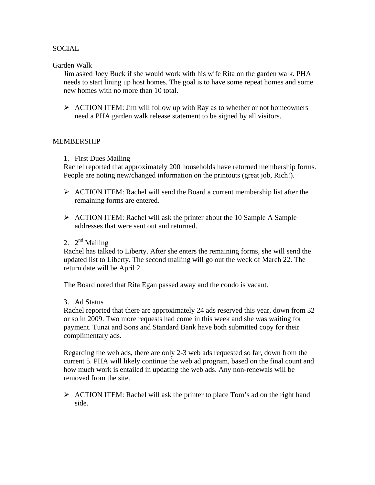## SOCIAL

#### Garden Walk

Jim asked Joey Buck if she would work with his wife Rita on the garden walk. PHA needs to start lining up host homes. The goal is to have some repeat homes and some new homes with no more than 10 total.

 $\triangleright$  ACTION ITEM: Jim will follow up with Ray as to whether or not homeowners need a PHA garden walk release statement to be signed by all visitors.

#### MEMBERSHIP

1. First Dues Mailing

Rachel reported that approximately 200 households have returned membership forms. People are noting new/changed information on the printouts (great job, Rich!).

- $\triangleright$  ACTION ITEM: Rachel will send the Board a current membership list after the remaining forms are entered.
- $\triangleright$  ACTION ITEM: Rachel will ask the printer about the 10 Sample A Sample addresses that were sent out and returned.
- 2.  $2^{\text{nd}}$  Mailing

Rachel has talked to Liberty. After she enters the remaining forms, she will send the updated list to Liberty. The second mailing will go out the week of March 22. The return date will be April 2.

The Board noted that Rita Egan passed away and the condo is vacant.

3. Ad Status

Rachel reported that there are approximately 24 ads reserved this year, down from 32 or so in 2009. Two more requests had come in this week and she was waiting for payment. Tunzi and Sons and Standard Bank have both submitted copy for their complimentary ads.

Regarding the web ads, there are only 2-3 web ads requested so far, down from the current 5. PHA will likely continue the web ad program, based on the final count and how much work is entailed in updating the web ads. Any non-renewals will be removed from the site.

 $\triangleright$  ACTION ITEM: Rachel will ask the printer to place Tom's ad on the right hand side.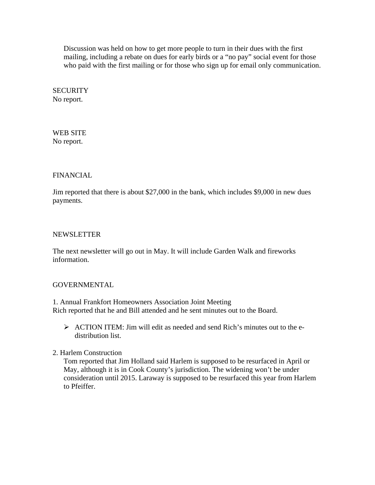Discussion was held on how to get more people to turn in their dues with the first mailing, including a rebate on dues for early birds or a "no pay" social event for those who paid with the first mailing or for those who sign up for email only communication.

**SECURITY** No report.

WEB SITE No report.

## FINANCIAL

Jim reported that there is about \$27,000 in the bank, which includes \$9,000 in new dues payments.

### NEWSLETTER

The next newsletter will go out in May. It will include Garden Walk and fireworks information.

# GOVERNMENTAL

1. Annual Frankfort Homeowners Association Joint Meeting Rich reported that he and Bill attended and he sent minutes out to the Board.

- $\triangleright$  ACTION ITEM: Jim will edit as needed and send Rich's minutes out to the edistribution list.
- 2. Harlem Construction

Tom reported that Jim Holland said Harlem is supposed to be resurfaced in April or May, although it is in Cook County's jurisdiction. The widening won't be under consideration until 2015. Laraway is supposed to be resurfaced this year from Harlem to Pfeiffer.